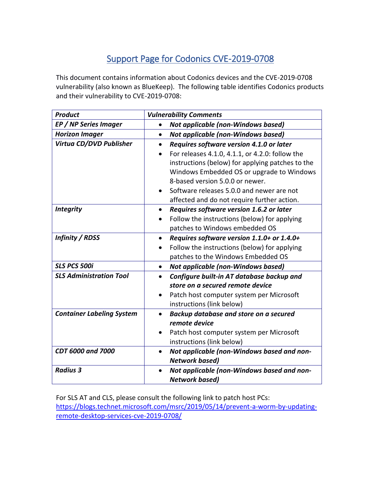## Support Page for Codonics CVE-2019-0708

This document contains information about Codonics devices and the CVE-2019-0708 vulnerability (also known as BlueKeep). The following table identifies Codonics products and their vulnerability to CVE-2019-0708:

| <b>Product</b>                   | <b>Vulnerability Comments</b>                             |
|----------------------------------|-----------------------------------------------------------|
| <b>EP / NP Series Imager</b>     | Not applicable (non-Windows based)<br>$\bullet$           |
| <b>Horizon Imager</b>            | <b>Not applicable (non-Windows based)</b><br>$\bullet$    |
| Virtua CD/DVD Publisher          | Requires software version 4.1.0 or later<br>$\bullet$     |
|                                  | For releases 4.1.0, 4.1.1, or 4.2.0: follow the           |
|                                  | instructions (below) for applying patches to the          |
|                                  | Windows Embedded OS or upgrade to Windows                 |
|                                  | 8-based version 5.0.0 or newer.                           |
|                                  | Software releases 5.0.0 and newer are not                 |
|                                  | affected and do not require further action.               |
| <b>Integrity</b>                 | Requires software version 1.6.2 or later<br>$\bullet$     |
|                                  | Follow the instructions (below) for applying              |
|                                  | patches to Windows embedded OS                            |
| <b>Infinity / RDSS</b>           | Requires software version 1.1.0+ or 1.4.0+<br>$\bullet$   |
|                                  | Follow the instructions (below) for applying<br>$\bullet$ |
|                                  | patches to the Windows Embedded OS                        |
| <b>SLS PCS 500i</b>              | Not applicable (non-Windows based)<br>$\bullet$           |
| <b>SLS Administration Tool</b>   | Configure built-in AT database backup and<br>$\bullet$    |
|                                  | store on a secured remote device                          |
|                                  | Patch host computer system per Microsoft<br>$\bullet$     |
|                                  | instructions (link below)                                 |
| <b>Container Labeling System</b> | Backup database and store on a secured<br>$\bullet$       |
|                                  | remote device                                             |
|                                  | Patch host computer system per Microsoft                  |
|                                  | instructions (link below)                                 |
| <b>CDT 6000 and 7000</b>         | Not applicable (non-Windows based and non-<br>$\bullet$   |
|                                  | <b>Network based)</b>                                     |
| <b>Radius 3</b>                  | Not applicable (non-Windows based and non-                |
|                                  | <b>Network based)</b>                                     |

For SLS AT and CLS, please consult the following link to patch host PCs: [https://blogs.technet.microsoft.com/msrc/2019/05/14/prevent-a-worm-by-updating](https://blogs.technet.microsoft.com/msrc/2019/05/14/prevent-a-worm-by-updating-remote-desktop-services-cve-2019-0708/)[remote-desktop-services-cve-2019-0708/](https://blogs.technet.microsoft.com/msrc/2019/05/14/prevent-a-worm-by-updating-remote-desktop-services-cve-2019-0708/)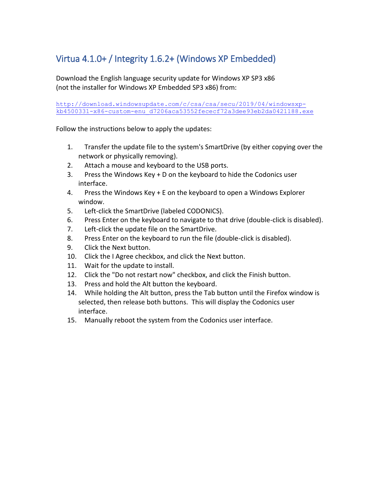## Virtua 4.1.0+ / Integrity 1.6.2+ (Windows XP Embedded)

Download the English language security update for Windows XP SP3 x86 (not the installer for Windows XP Embedded SP3 x86) from:

http://download.windowsupdate.com/c/csa/csa/secu/2019/04/windowsxpkb4500331-x86-custom-enu\_d7206aca53552fececf72a3dee93eb2da0421188.exe

Follow the instructions below to apply the updates:

- 1. Transfer the update file to the system's SmartDrive (by either copying over the network or physically removing).
- 2. Attach a mouse and keyboard to the USB ports.
- 3. Press the Windows Key + D on the keyboard to hide the Codonics user interface.
- 4. Press the Windows Key + E on the keyboard to open a Windows Explorer window.
- 5. Left-click the SmartDrive (labeled CODONICS).
- 6. Press Enter on the keyboard to navigate to that drive (double-click is disabled).
- 7. Left-click the update file on the SmartDrive.
- 8. Press Enter on the keyboard to run the file (double-click is disabled).
- 9. Click the Next button.
- 10. Click the I Agree checkbox, and click the Next button.
- 11. Wait for the update to install.
- 12. Click the "Do not restart now" checkbox, and click the Finish button.
- 13. Press and hold the Alt button the keyboard.
- 14. While holding the Alt button, press the Tab button until the Firefox window is selected, then release both buttons. This will display the Codonics user interface.
- 15. Manually reboot the system from the Codonics user interface.